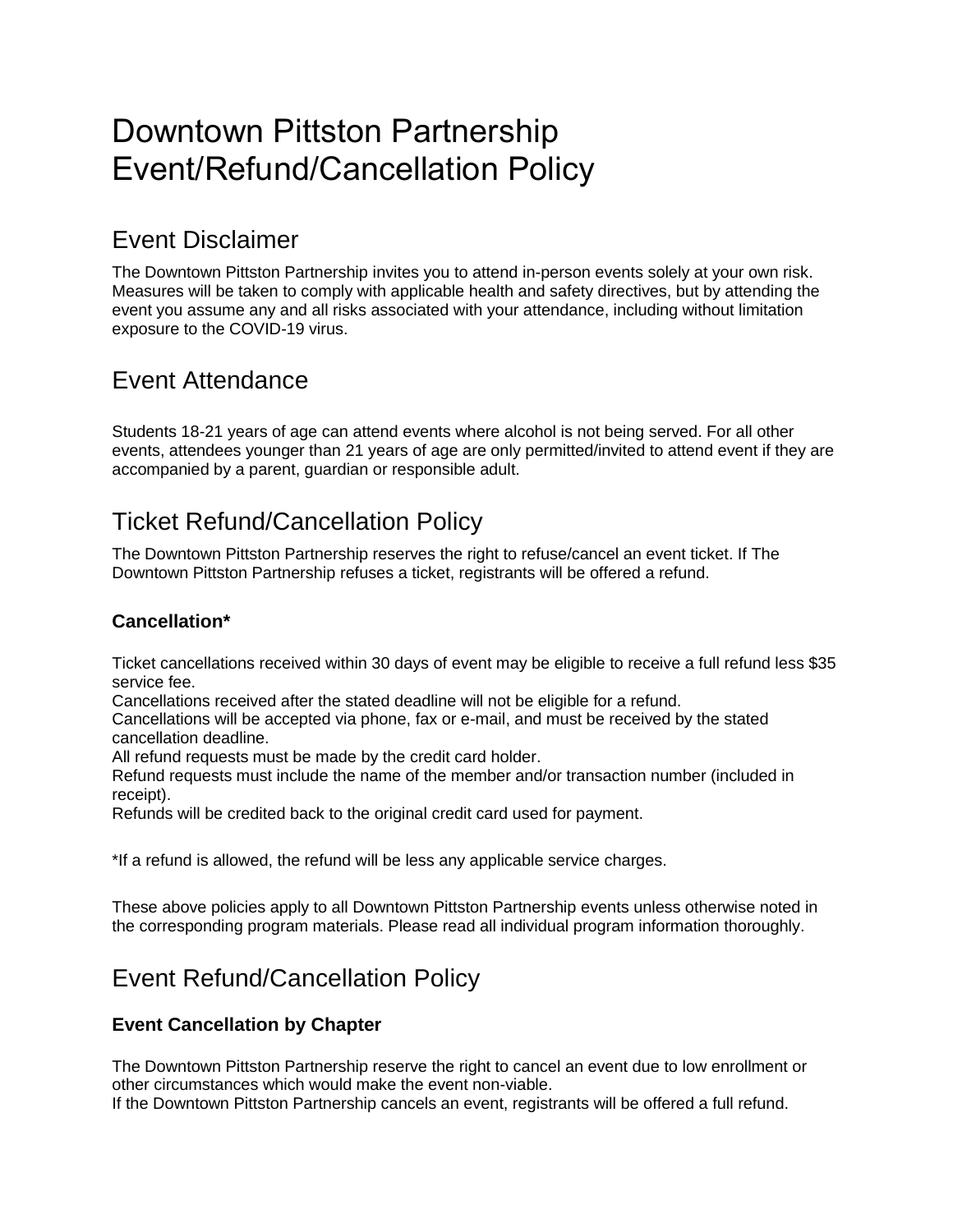# Downtown Pittston Partnership Event/Refund/Cancellation Policy

### Event Disclaimer

The Downtown Pittston Partnership invites you to attend in-person events solely at your own risk. Measures will be taken to comply with applicable health and safety directives, but by attending the event you assume any and all risks associated with your attendance, including without limitation exposure to the COVID-19 virus.

### Event Attendance

Students 18-21 years of age can attend events where alcohol is not being served. For all other events, attendees younger than 21 years of age are only permitted/invited to attend event if they are accompanied by a parent, guardian or responsible adult.

## Ticket Refund/Cancellation Policy

The Downtown Pittston Partnership reserves the right to refuse/cancel an event ticket. If The Downtown Pittston Partnership refuses a ticket, registrants will be offered a refund.

#### **Cancellation\***

Ticket cancellations received within 30 days of event may be eligible to receive a full refund less \$35 service fee.

Cancellations received after the stated deadline will not be eligible for a refund.

Cancellations will be accepted via phone, fax or e-mail, and must be received by the stated cancellation deadline.

All refund requests must be made by the credit card holder.

Refund requests must include the name of the member and/or transaction number (included in receipt).

Refunds will be credited back to the original credit card used for payment.

\*If a refund is allowed, the refund will be less any applicable service charges.

These above policies apply to all Downtown Pittston Partnership events unless otherwise noted in the corresponding program materials. Please read all individual program information thoroughly.

### Event Refund/Cancellation Policy

#### **Event Cancellation by Chapter**

The Downtown Pittston Partnership reserve the right to cancel an event due to low enrollment or other circumstances which would make the event non-viable.

If the Downtown Pittston Partnership cancels an event, registrants will be offered a full refund.